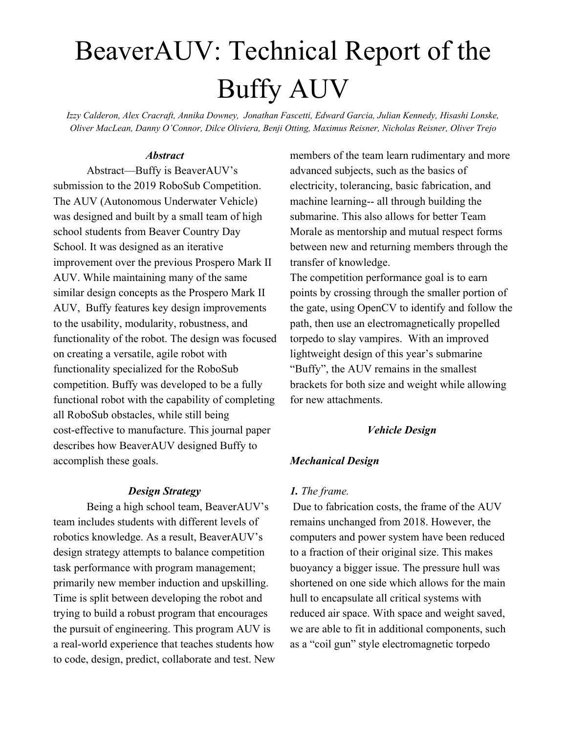# BeaverAUV: Technical Report of the Buffy AUV

*Izzy Calderon, Alex Cracraft, Annika Downey, Jonathan Fascetti, Edward Garcia, Julian Kennedy, Hisashi Lonske, Oliver MacLean, Danny O'Connor, Dilce Oliviera, Benji Otting, Maximus Reisner, Nicholas Reisner, Oliver Trejo*

#### *Abstract*

Abstract—Buffy is BeaverAUV's submission to the 2019 RoboSub Competition. The AUV (Autonomous Underwater Vehicle) was designed and built by a small team of high school students from Beaver Country Day School. It was designed as an iterative improvement over the previous Prospero Mark II AUV. While maintaining many of the same similar design concepts as the Prospero Mark II AUV, Buffy features key design improvements to the usability, modularity, robustness, and functionality of the robot. The design was focused on creating a versatile, agile robot with functionality specialized for the RoboSub competition. Buffy was developed to be a fully functional robot with the capability of completing all RoboSub obstacles, while still being cost-effective to manufacture. This journal paper describes how BeaverAUV designed Buffy to accomplish these goals.

#### *Design Strategy*

Being a high school team, BeaverAUV's team includes students with different levels of robotics knowledge. As a result, BeaverAUV's design strategy attempts to balance competition task performance with program management; primarily new member induction and upskilling. Time is split between developing the robot and trying to build a robust program that encourages the pursuit of engineering. This program AUV is a real-world experience that teaches students how to code, design, predict, collaborate and test. New members of the team learn rudimentary and more advanced subjects, such as the basics of electricity, tolerancing, basic fabrication, and machine learning-- all through building the submarine. This also allows for better Team Morale as mentorship and mutual respect forms between new and returning members through the transfer of knowledge.

The competition performance goal is to earn points by crossing through the smaller portion of the gate, using OpenCV to identify and follow the path, then use an electromagnetically propelled torpedo to slay vampires. With an improved lightweight design of this year's submarine "Buffy", the AUV remains in the smallest brackets for both size and weight while allowing for new attachments.

#### *Vehicle Design*

#### *Mechanical Design*

#### *1. The frame.*

Due to fabrication costs, the frame of the AUV remains unchanged from 2018. However, the computers and power system have been reduced to a fraction of their original size. This makes buoyancy a bigger issue. The pressure hull was shortened on one side which allows for the main hull to encapsulate all critical systems with reduced air space. With space and weight saved, we are able to fit in additional components, such as a "coil gun" style electromagnetic torpedo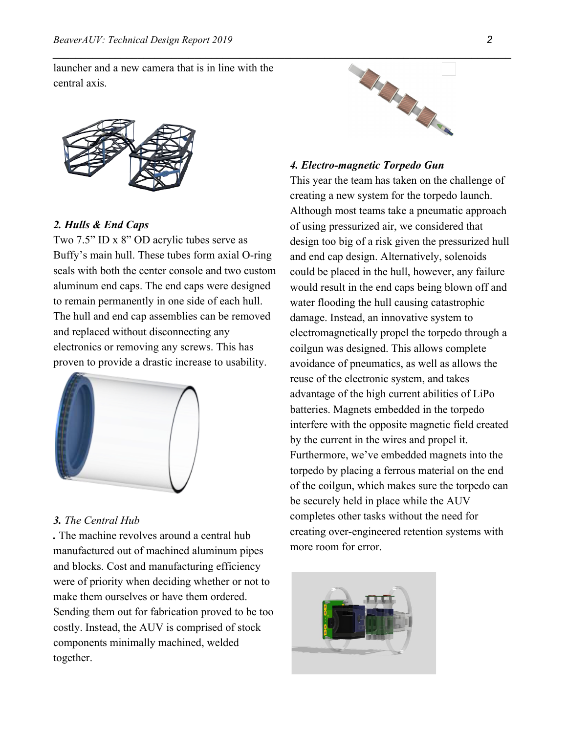launcher and a new camera that is in line with the central axis.



#### *2. Hulls & End Caps*

Two 7.5" ID x 8" OD acrylic tubes serve as Buffy's main hull. These tubes form axial O-ring seals with both the center console and two custom aluminum end caps. The end caps were designed to remain permanently in one side of each hull. The hull and end cap assemblies can be removed and replaced without disconnecting any electronics or removing any screws. This has proven to provide a drastic increase to usability.



### *3. The Central Hub*

*.* The machine revolves around a central hub manufactured out of machined aluminum pipes and blocks. Cost and manufacturing efficiency were of priority when deciding whether or not to make them ourselves or have them ordered. Sending them out for fabrication proved to be too costly. Instead, the AUV is comprised of stock components minimally machined, welded together.



#### *4. Electro-magnetic Torpedo Gun*

This year the team has taken on the challenge of creating a new system for the torpedo launch. Although most teams take a pneumatic approach of using pressurized air, we considered that design too big of a risk given the pressurized hull and end cap design. Alternatively, solenoids could be placed in the hull, however, any failure would result in the end caps being blown off and water flooding the hull causing catastrophic damage. Instead, an innovative system to electromagnetically propel the torpedo through a coilgun was designed. This allows complete avoidance of pneumatics, as well as allows the reuse of the electronic system, and takes advantage of the high current abilities of LiPo batteries. Magnets embedded in the torpedo interfere with the opposite magnetic field created by the current in the wires and propel it. Furthermore, we've embedded magnets into the torpedo by placing a ferrous material on the end of the coilgun, which makes sure the torpedo can be securely held in place while the AUV completes other tasks without the need for creating over-engineered retention systems with more room for error.

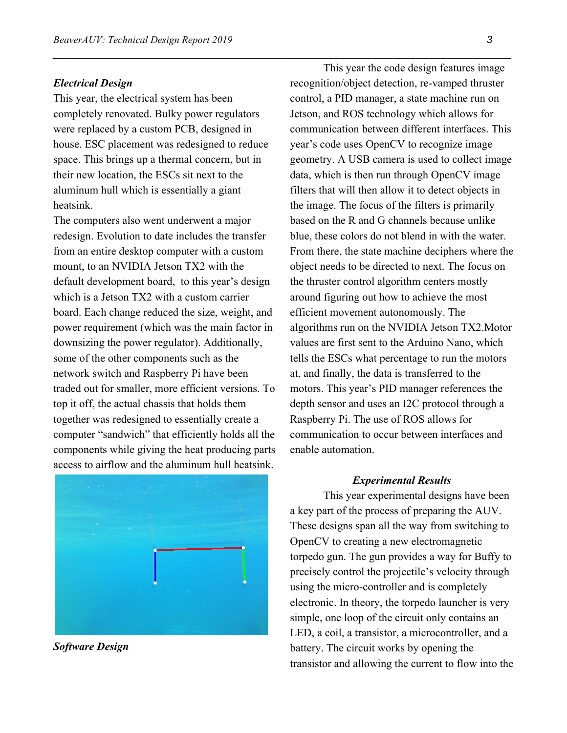#### *Electrical Design*

This year, the electrical system has been completely renovated. Bulky power regulators were replaced by a custom PCB, designed in house. ESC placement was redesigned to reduce space. This brings up a thermal concern, but in their new location, the ESCs sit next to the aluminum hull which is essentially a giant heatsink.

*\_\_\_\_\_\_\_\_\_\_\_\_\_\_\_\_\_\_\_\_\_\_\_\_\_\_\_\_\_\_\_\_\_\_\_\_\_\_\_\_\_\_\_\_\_\_\_\_\_\_\_\_\_\_\_\_\_\_\_\_\_\_\_\_\_\_\_\_\_\_\_\_\_\_\_\_\_\_\_\_\_*

The computers also went underwent a major redesign. Evolution to date includes the transfer from an entire desktop computer with a custom mount, to an NVIDIA Jetson TX2 with the default development board, to this year's design which is a Jetson TX2 with a custom carrier board. Each change reduced the size, weight, and power requirement (which was the main factor in downsizing the power regulator). Additionally, some of the other components such as the network switch and Raspberry Pi have been traded out for smaller, more efficient versions. To top it off, the actual chassis that holds them together was redesigned to essentially create a computer "sandwich" that efficiently holds all the components while giving the heat producing parts access to airflow and the aluminum hull heatsink.



*Software Design*

This year the code design features image recognition/object detection, re-vamped thruster control, a PID manager, a state machine run on Jetson, and ROS technology which allows for communication between different interfaces. This year's code uses OpenCV to recognize image geometry. A USB camera is used to collect image data, which is then run through OpenCV image filters that will then allow it to detect objects in the image. The focus of the filters is primarily based on the R and G channels because unlike blue, these colors do not blend in with the water. From there, the state machine deciphers where the object needs to be directed to next. The focus on the thruster control algorithm centers mostly around figuring out how to achieve the most efficient movement autonomously. The algorithms run on the NVIDIA Jetson TX2.Motor values are first sent to the Arduino Nano, which tells the ESCs what percentage to run the motors at, and finally, the data is transferred to the motors. This year's PID manager references the depth sensor and uses an I2C protocol through a Raspberry Pi. The use of ROS allows for communication to occur between interfaces and enable automation.

#### *Experimental Results*

This year experimental designs have been a key part of the process of preparing the AUV. These designs span all the way from switching to OpenCV to creating a new electromagnetic torpedo gun. The gun provides a way for Buffy to precisely control the projectile's velocity through using the micro-controller and is completely electronic. In theory, the torpedo launcher is very simple, one loop of the circuit only contains an LED, a coil, a transistor, a microcontroller, and a battery. The circuit works by opening the transistor and allowing the current to flow into the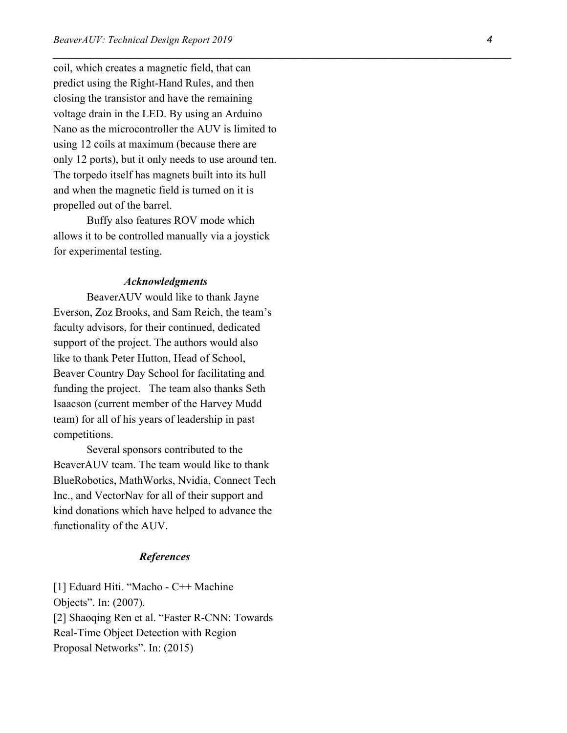coil, which creates a magnetic field, that can predict using the Right-Hand Rules, and then closing the transistor and have the remaining voltage drain in the LED. By using an Arduino Nano as the microcontroller the AUV is limited to using 12 coils at maximum (because there are only 12 ports), but it only needs to use around ten. The torpedo itself has magnets built into its hull and when the magnetic field is turned on it is propelled out of the barrel.

*\_\_\_\_\_\_\_\_\_\_\_\_\_\_\_\_\_\_\_\_\_\_\_\_\_\_\_\_\_\_\_\_\_\_\_\_\_\_\_\_\_\_\_\_\_\_\_\_\_\_\_\_\_\_\_\_\_\_\_\_\_\_\_\_\_\_\_\_\_\_\_\_\_\_\_\_\_\_\_\_\_*

Buffy also features ROV mode which allows it to be controlled manually via a joystick for experimental testing.

#### *Acknowledgments*

BeaverAUV would like to thank Jayne Everson, Zoz Brooks, and Sam Reich, the team's faculty advisors, for their continued, dedicated support of the project. The authors would also like to thank Peter Hutton, Head of School, Beaver Country Day School for facilitating and funding the project. The team also thanks Seth Isaacson (current member of the Harvey Mudd team) for all of his years of leadership in past competitions.

Several sponsors contributed to the BeaverAUV team. The team would like to thank BlueRobotics, MathWorks, Nvidia, Connect Tech Inc., and VectorNav for all of their support and kind donations which have helped to advance the functionality of the AUV.

#### *References*

[1] Eduard Hiti. "Macho - C++ Machine Objects". In: (2007). [2] Shaoqing Ren et al. "Faster R-CNN: Towards Real-Time Object Detection with Region Proposal Networks". In: (2015)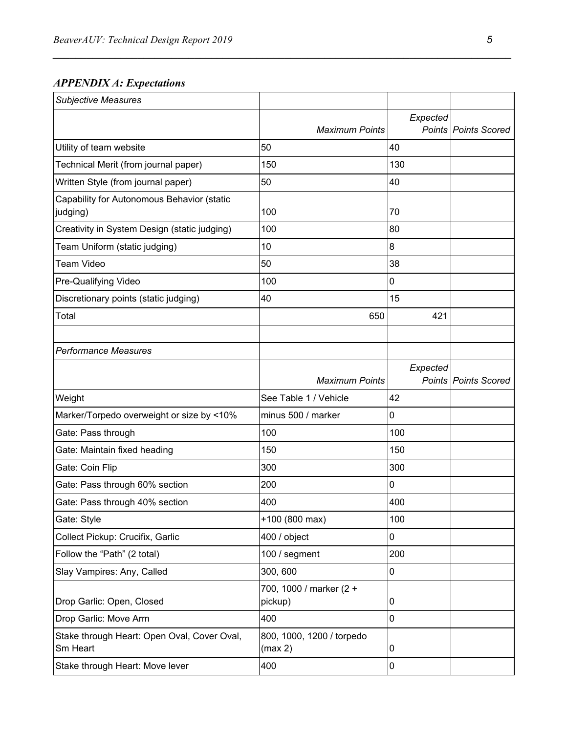## *APPENDIX A: Expectations*

| <b>Subjective Measures</b>                              |                                      |          |                             |
|---------------------------------------------------------|--------------------------------------|----------|-----------------------------|
|                                                         |                                      | Expected |                             |
|                                                         | <b>Maximum Points</b>                |          | <b>Points Points Scored</b> |
| Utility of team website                                 | 50                                   | 40       |                             |
| Technical Merit (from journal paper)                    | 150                                  | 130      |                             |
| Written Style (from journal paper)                      | 50                                   | 40       |                             |
| Capability for Autonomous Behavior (static<br>judging)  | 100                                  | 70       |                             |
| Creativity in System Design (static judging)            | 100                                  | 80       |                             |
| Team Uniform (static judging)                           | 10                                   | 8        |                             |
| <b>Team Video</b>                                       | 50                                   | 38       |                             |
| Pre-Qualifying Video                                    | 100                                  | 0        |                             |
| Discretionary points (static judging)                   | 40                                   | 15       |                             |
| Total                                                   | 650                                  | 421      |                             |
|                                                         |                                      |          |                             |
| <b>Performance Measures</b>                             |                                      |          |                             |
|                                                         | <b>Maximum Points</b>                | Expected | <b>Points Points Scored</b> |
| Weight                                                  | See Table 1 / Vehicle                | 42       |                             |
| Marker/Torpedo overweight or size by <10%               | minus 500 / marker                   | 0        |                             |
| Gate: Pass through                                      | 100                                  | 100      |                             |
| Gate: Maintain fixed heading                            | 150                                  | 150      |                             |
| Gate: Coin Flip                                         | 300                                  | 300      |                             |
| Gate: Pass through 60% section                          | 200                                  | 0        |                             |
| Gate: Pass through 40% section                          | 400                                  | 400      |                             |
| Gate: Style                                             | +100 (800 max)                       | 100      |                             |
| Collect Pickup: Crucifix, Garlic                        | 400 / object                         | 0        |                             |
| Follow the "Path" (2 total)                             | 100 / segment                        | 200      |                             |
| Slay Vampires: Any, Called                              | 300, 600                             | 0        |                             |
| Drop Garlic: Open, Closed                               | 700, 1000 / marker (2 +<br>pickup)   | 0        |                             |
| Drop Garlic: Move Arm                                   | 400                                  | 0        |                             |
| Stake through Heart: Open Oval, Cover Oval,<br>Sm Heart | 800, 1000, 1200 / torpedo<br>(max 2) | 0        |                             |
| Stake through Heart: Move lever                         | 400                                  | 0        |                             |

*\_\_\_\_\_\_\_\_\_\_\_\_\_\_\_\_\_\_\_\_\_\_\_\_\_\_\_\_\_\_\_\_\_\_\_\_\_\_\_\_\_\_\_\_\_\_\_\_\_\_\_\_\_\_\_\_\_\_\_\_\_\_\_\_\_\_\_\_\_\_\_\_\_\_\_\_\_\_\_\_\_*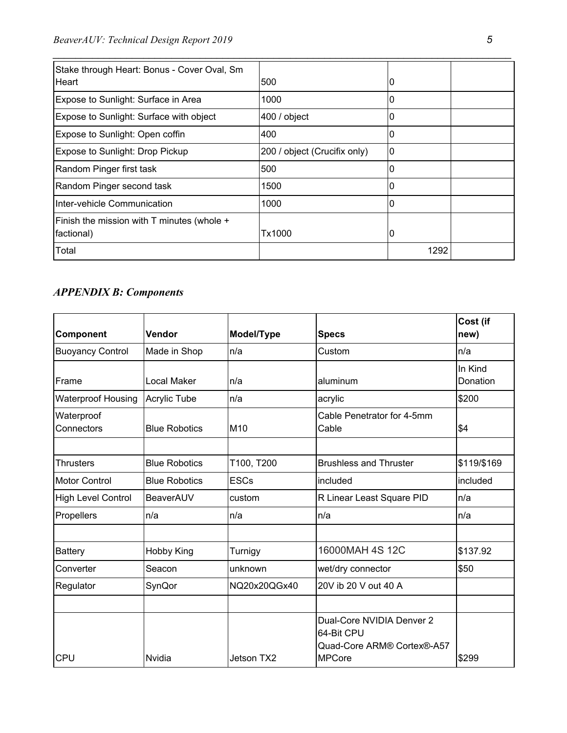| Stake through Heart: Bonus - Cover Oval, Sm<br>Heart | 500                          | υ    |  |
|------------------------------------------------------|------------------------------|------|--|
|                                                      |                              |      |  |
| Expose to Sunlight: Surface in Area                  | 1000                         |      |  |
| Expose to Sunlight: Surface with object              | 400 / object                 |      |  |
| Expose to Sunlight: Open coffin                      | 400                          |      |  |
| Expose to Sunlight: Drop Pickup                      | 200 / object (Crucifix only) | 10   |  |
| Random Pinger first task                             | 500                          |      |  |
| Random Pinger second task                            | 1500                         |      |  |
| Inter-vehicle Communication                          | 1000                         |      |  |
| Finish the mission with T minutes (whole +           |                              |      |  |
| factional)                                           | Tx1000                       |      |  |
| Total                                                |                              | 1292 |  |

*\_\_\_\_\_\_\_\_\_\_\_\_\_\_\_\_\_\_\_\_\_\_\_\_\_\_\_\_\_\_\_\_\_\_\_\_\_\_\_\_\_\_\_\_\_\_\_\_\_\_\_\_\_\_\_\_\_\_\_\_\_\_\_\_\_\_\_\_\_\_\_\_\_\_\_\_\_\_\_\_\_*

# *APPENDIX B: Components*

| Component                 | Vendor               | Model/Type   | <b>Specs</b>                                                          | Cost (if<br>new)    |
|---------------------------|----------------------|--------------|-----------------------------------------------------------------------|---------------------|
| <b>Buoyancy Control</b>   | Made in Shop         | n/a          | Custom                                                                | n/a                 |
| Frame                     | Local Maker          | n/a          | aluminum                                                              | In Kind<br>Donation |
| <b>Waterproof Housing</b> | Acrylic Tube         | n/a          | acrylic                                                               | \$200               |
| Waterproof<br>Connectors  | <b>Blue Robotics</b> | M10          | Cable Penetrator for 4-5mm<br>Cable                                   | \$4                 |
| <b>Thrusters</b>          | <b>Blue Robotics</b> | T100, T200   | <b>Brushless and Thruster</b>                                         | \$119/\$169         |
| <b>Motor Control</b>      | <b>Blue Robotics</b> | <b>ESCs</b>  | included                                                              | included            |
| <b>High Level Control</b> | BeaverAUV            | custom       | R Linear Least Square PID                                             | n/a                 |
| Propellers                | n/a                  | n/a          | n/a                                                                   | n/a                 |
|                           |                      |              |                                                                       |                     |
| <b>Battery</b>            | Hobby King           | Turnigy      | 16000MAH 4S 12C                                                       | \$137.92            |
| Converter                 | Seacon               | unknown      | wet/dry connector                                                     | \$50                |
| Regulator                 | SynQor               | NQ20x20QGx40 | 20V ib 20 V out 40 A                                                  |                     |
|                           |                      |              |                                                                       |                     |
|                           |                      |              | Dual-Core NVIDIA Denver 2<br>64-Bit CPU<br>Quad-Core ARM® Cortex®-A57 |                     |
| <b>CPU</b>                | Nvidia               | Jetson TX2   | <b>MPCore</b>                                                         | \$299               |